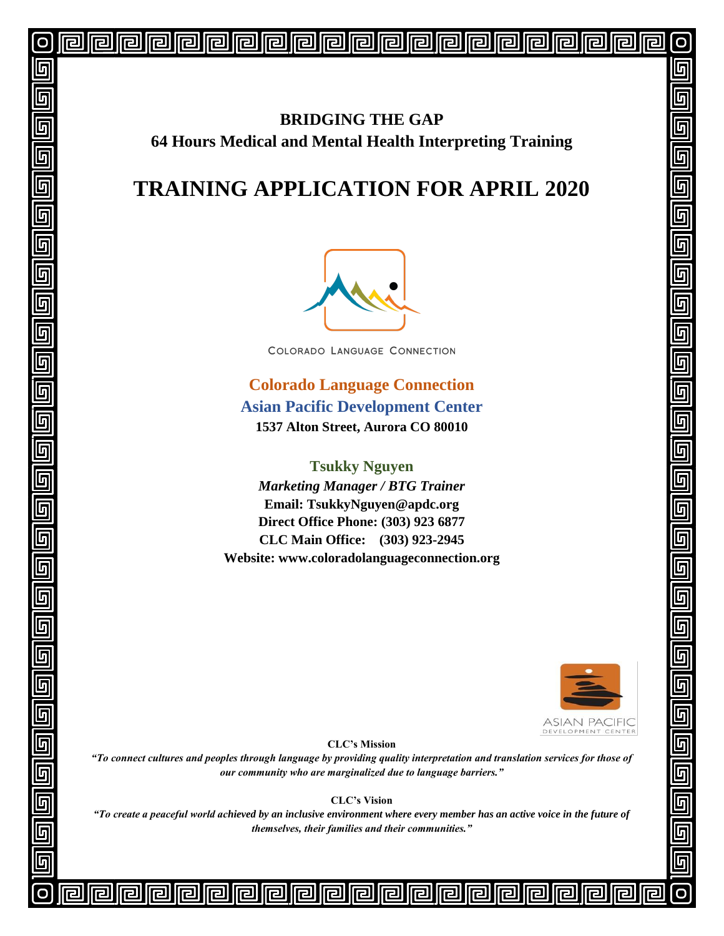## **BRIDGING THE GAP 64 Hours Medical and Mental Health Interpreting Training**

# **TRAINING APPLICATION FOR APRIL 2020**



COLORADO LANGUAGE CONNECTION

**Colorado Language Connection Asian Pacific Development Center 1537 Alton Street, Aurora CO 80010**

**Tsukky Nguyen**  *Marketing Manager / BTG Trainer* **Email: TsukkyNguyen@apdc.org Direct Office Phone: (303) 923 6877 CLC Main Office: (303) 923-2945 Website: www.coloradolanguageconnection.org**



5

Л

5

Л

**ASIAN PACIFIC** DEVELOPMENT CENTER

**CLC's Mission**

*"To connect cultures and peoples through language by providing quality interpretation and translation services for those of our community who are marginalized due to language barriers."*

**CLC's Vision**

*"To create a peaceful world achieved by an inclusive environment where every member has an active voice in the future of themselves, their families and their communities."*

<u>الكاركار</u>

5

 $\overline{\mathbb{F}}$ 

 $\overline{\mathbb{F}}$ 

 $\overline{\mathbb{G}}$ 

 $\overline{\mathbb{F}}$ 

 $\overline{\mathfrak{h}}$ 

[9]<br>[5]

 $\overline{\mathbb{F}}$ 

 $\overline{\mathbb{G}}$ 

<u>[a] [a] [a]</u>

<u>டு</u>

 $\overline{\mathbb{F}}$ 

 $\overline{\mathbb{F}}$ 

 $\overline{\mathbb{F}}$ 

 $\overline{\mathbb{F}}$ 

 $\overline{\mathbb{G}}$ 

5

厅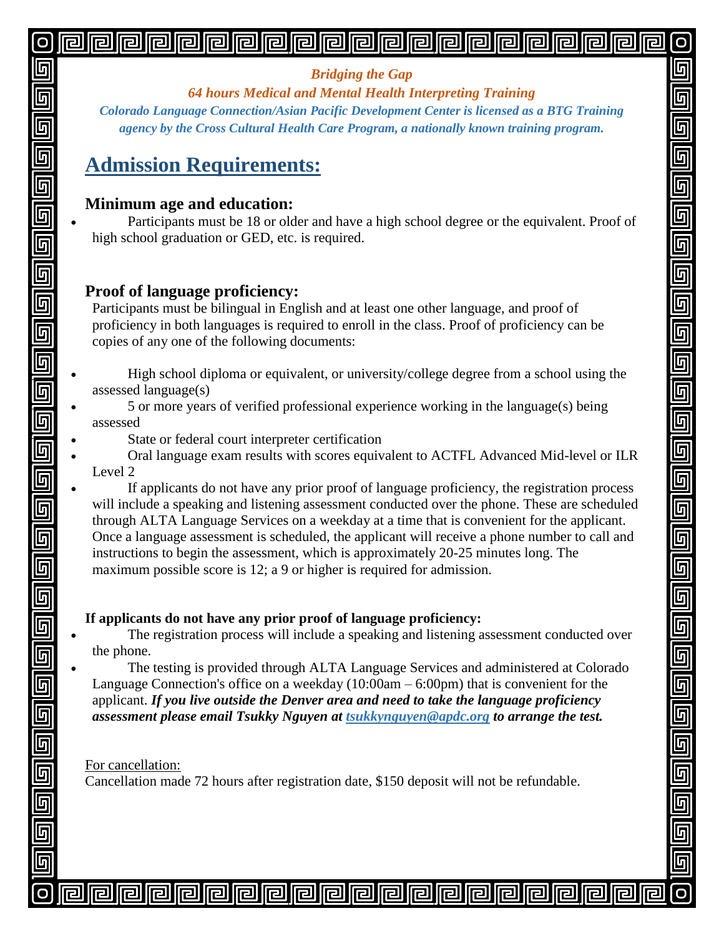#### 囘 旧 问

#### *Bridging the Gap*

*64 hours Medical and Mental Health Interpreting Training*

ត

 $\overline{\mathbb{G}}$ 

 $\overline{\mathbb{G}}$ 

一<br>回<br>回

 $\overline{\mathbb{G}}$ 

 $\overline{\mathbb{G}}$ 

 $\overline{\mathbb{G}}$ 

 $\overline{\mathbf{g}}$ 

 $\overline{\mathsf{G}}$ 

回<br>回

 $\overline{\overline{\mathsf{g}}}$ 

一<br>回

 $\equiv$ 

 $\overline{\mathbf{g}}$ 

一<br>回<br>回

 $\overline{\mathsf{q}}$ 

 $\overline{\mathsf{G}}$ 

<u>G</u>

*Colorado Language Connection/Asian Pacific Development Center is licensed as a BTG Training agency by the Cross Cultural Health Care Program, a nationally known training program.*

# **Admission Requirements:**

## **Minimum age and education:**

 Participants must be 18 or older and have a high school degree or the equivalent. Proof of high school graduation or GED, etc. is required.

## **Proof of language proficiency:**

Participants must be bilingual in English and at least one other language, and proof of proficiency in both languages is required to enroll in the class. Proof of proficiency can be copies of any one of the following documents:

- High school diploma or equivalent, or university/college degree from a school using the assessed language(s)
- 5 or more years of verified professional experience working in the language(s) being assessed
	- State or federal court interpreter certification
- Oral language exam results with scores equivalent to ACTFL Advanced Mid-level or ILR Level 2

 If applicants do not have any prior proof of language proficiency, the registration process will include a speaking and listening assessment conducted over the phone. These are scheduled through ALTA Language Services on a weekday at a time that is convenient for the applicant. Once a language assessment is scheduled, the applicant will receive a phone number to call and instructions to begin the assessment, which is approximately 20-25 minutes long. The maximum possible score is 12; a 9 or higher is required for admission.

### **If applicants do not have any prior proof of language proficiency:**

同

问

Г2 I

 The registration process will include a speaking and listening assessment conducted over the phone.

 The testing is provided through ALTA Language Services and administered at Colorado Language Connection's office on a weekday (10:00am – 6:00pm) that is convenient for the applicant. *If you live outside the Denver area and need to take the language proficiency assessment please email Tsukky Nguyen at tsukkynguyen@apdc.org to arrange the test.*

#### For cancellation:

<u>الكاركار</u>

Cancellation made 72 hours after registration date, \$150 deposit will not be refundable.

囘

**Iral** 

lal

17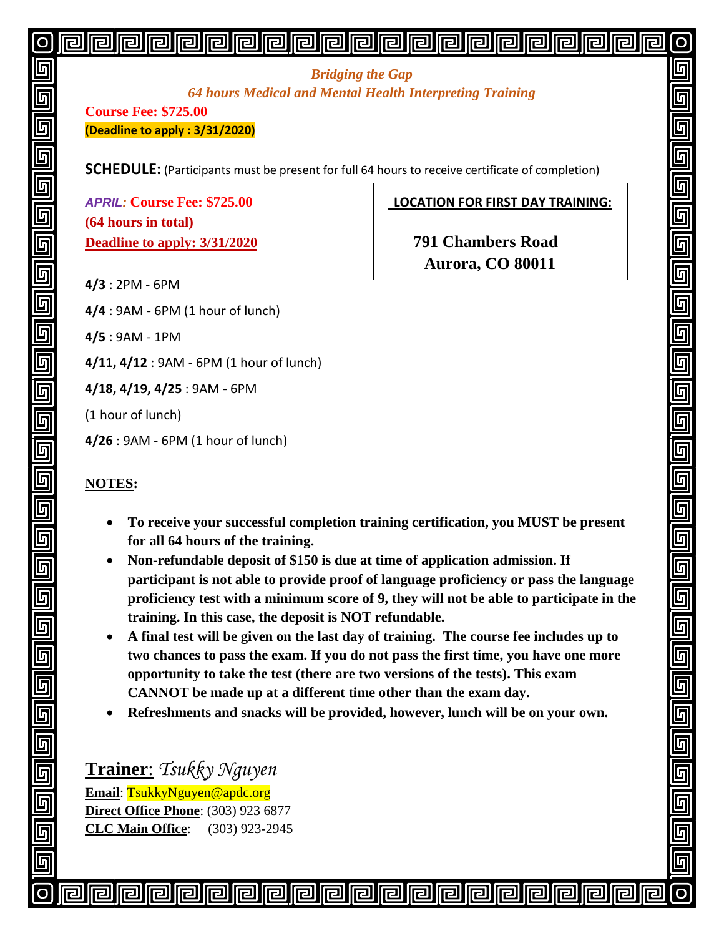#### 囘 旧 旧 Iral <u>||2|</u>

#### *Bridging the Gap 64 hours Medical and Mental Health Interpreting Training*

**Course Fee: \$725.00 (Deadline to apply : 3/31/2020)**

**SCHEDULE:** (Participants must be present for full 64 hours to receive certificate of completion)

**(64 hours in total) Deadline to apply: 3/31/2020 791 Chambers Road**

*APRIL:* **Course Fee: \$725.00 LOCATION FOR FIRST DAY TRAINING:**

 $\overline{\mathsf{h}}$ 

 $\overline{\mathsf{g}}$ 

 $\overline{\mathsf{G}}$ 

 $\blacksquare$ 

5

5

 **Aurora, CO 80011**

**4/3** : 2PM - 6PM

**4/4** : 9AM - 6PM (1 hour of lunch)

**4/5** : 9AM - 1PM

**4/11, 4/12** : 9AM - 6PM (1 hour of lunch)

**4/18, 4/19, 4/25** : 9AM - 6PM

(1 hour of lunch)

**4/26** : 9AM - 6PM (1 hour of lunch)

#### **NOTES:**

<u>الكاركار</u>

- **To receive your successful completion training certification, you MUST be present for all 64 hours of the training.**
- **Non-refundable deposit of \$150 is due at time of application admission. If participant is not able to provide proof of language proficiency or pass the language proficiency test with a minimum score of 9, they will not be able to participate in the training. In this case, the deposit is NOT refundable.**
- **A final test will be given on the last day of training. The course fee includes up to two chances to pass the exam. If you do not pass the first time, you have one more opportunity to take the test (there are two versions of the tests). This exam CANNOT be made up at a different time other than the exam day.**
- **Refreshments and snacks will be provided, however, lunch will be on your own.**

**Trainer**: *Tsukky Nguyen* **Email**: TsukkyNguyen@apdc.org **Direct Office Phone**: (303) 923 6877 **CLC Main Office**: (303) 923-2945

囘

同

囘

Iral

同

lral

17

**IFI** 

ſr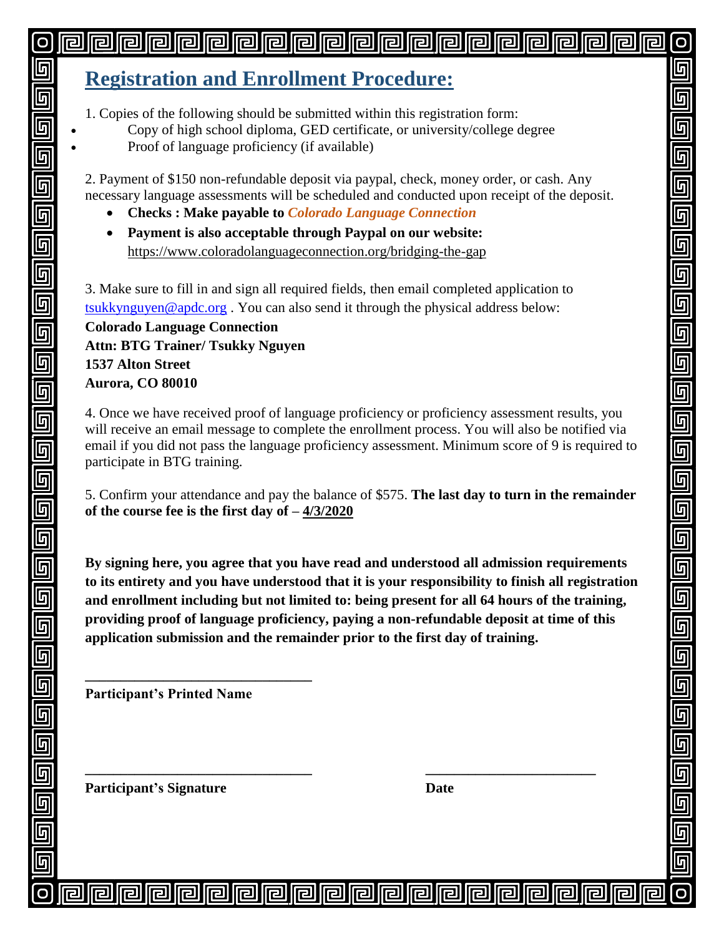#### 囘 <u>|| ra</u> <u>||2|</u>

# **Registration and Enrollment Procedure:**

1. Copies of the following should be submitted within this registration form:

- Copy of high school diploma, GED certificate, or university/college degree
- Proof of language proficiency (if available)

2. Payment of \$150 non-refundable deposit via paypal, check, money order, or cash. Any necessary language assessments will be scheduled and conducted upon receipt of the deposit. 5

 $\overline{\mathsf{q}}$ 

5

5

 $\overline{\mathbb{F}}$ 

 $\overline{\mathbb{F}}$ 

 $\overline{\mathbb{F}}$ 

 $\overline{\mathbb{F}}$ 

 $\overline{\mathsf{G}}$ 

 $\overline{\mathbb{F}}$ 

 $\overline{\mathbb{F}}$ 

 $\overline{\mathbf{p}}$ 

 $\overline{\mathbb{G}}$ 

5

 $\overline{\mathbb{F}}$ 

- **Checks : Make payable to** *Colorado Language Connection*
- **Payment is also acceptable through Paypal on our website:**  <https://www.coloradolanguageconnection.org/bridging-the-gap>

3. Make sure to fill in and sign all required fields, then email completed application to [tsukkynguyen@apdc.org](mailto:tsukkynguyen@apdc.org) . You can also send it through the physical address below:

**Colorado Language Connection Attn: BTG Trainer/ Tsukky Nguyen 1537 Alton Street Aurora, CO 80010**

4. Once we have received proof of language proficiency or proficiency assessment results, you will receive an email message to complete the enrollment process. You will also be notified via email if you did not pass the language proficiency assessment. Minimum score of 9 is required to participate in BTG training.

5. Confirm your attendance and pay the balance of \$575. **The last day to turn in the remainder of the course fee is the first day of – 4/3/2020**

**By signing here, you agree that you have read and understood all admission requirements to its entirety and you have understood that it is your responsibility to finish all registration and enrollment including but not limited to: being present for all 64 hours of the training, providing proof of language proficiency, paying a non-refundable deposit at time of this application submission and the remainder prior to the first day of training.**

**\_\_\_\_\_\_\_\_\_\_\_\_\_\_\_\_\_\_\_\_\_\_\_\_\_\_\_\_\_\_\_\_ \_\_\_\_\_\_\_\_\_\_\_\_\_\_\_\_\_\_\_\_\_\_\_\_**

同

r

冋

lr I

**Participant's Printed Name**

**\_\_\_\_\_\_\_\_\_\_\_\_\_\_\_\_\_\_\_\_\_\_\_\_\_\_\_\_\_\_\_\_**

**Participant's** Signature Date

<u>الكاركار</u>